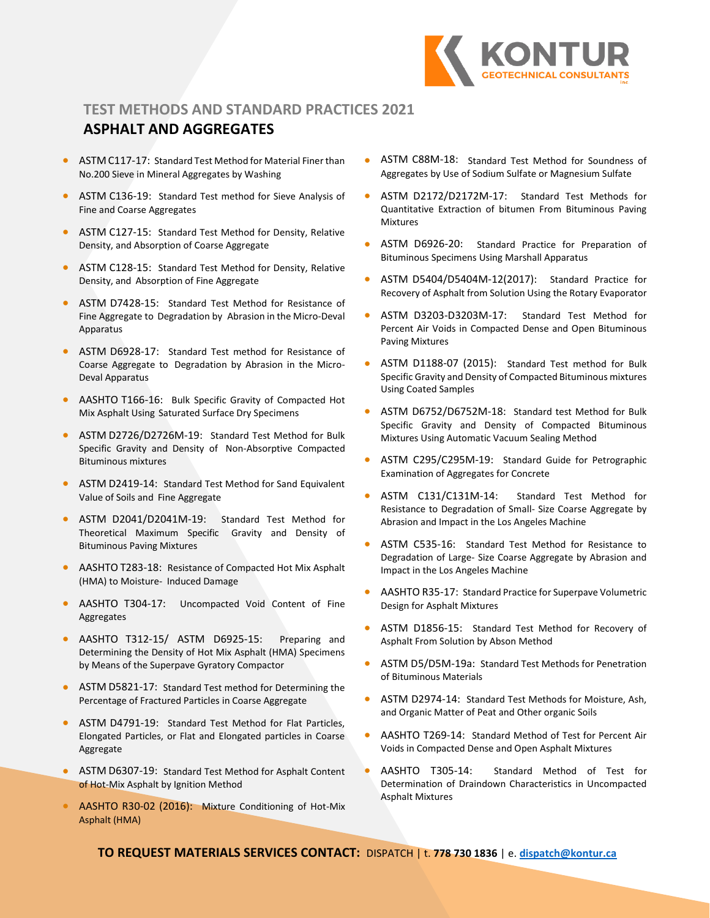

## **TEST METHODS AND STANDARD PRACTICES 2021**

# **ASPHALT AND AGGREGATES**

- ASTM C117-17: Standard Test Method for Material Finer than No.200 Sieve in Mineral Aggregates by Washing
- ASTM C136-19: Standard Test method for Sieve Analysis of Fine and Coarse Aggregates
- ASTM C127-15: Standard Test Method for Density, Relative Density, and Absorption of Coarse Aggregate
- ASTM C128-15: Standard Test Method for Density, Relative Density, and Absorption of Fine Aggregate
- ASTM D7428-15: Standard Test Method for Resistance of Fine Aggregate to Degradation by Abrasion in the Micro-Deval Apparatus
- ASTM D6928-17: Standard Test method for Resistance of Coarse Aggregate to Degradation by Abrasion in the Micro-Deval Apparatus
- AASHTO T166-16: Bulk Specific Gravity of Compacted Hot Mix Asphalt Using Saturated Surface Dry Specimens
- ASTM D2726/D2726M-19: Standard Test Method for Bulk Specific Gravity and Density of Non-Absorptive Compacted Bituminous mixtures
- ASTM D2419-14: Standard Test Method for Sand Equivalent Value of Soils and Fine Aggregate
- ASTM D2041/D2041M-19: Standard Test Method for Theoretical Maximum Specific Gravity and Density of Bituminous Paving Mixtures
- AASHTO T283-18: Resistance of Compacted Hot Mix Asphalt (HMA) to Moisture- Induced Damage
- AASHTO T304-17: Uncompacted Void Content of Fine Aggregates
- AASHTO T312-15/ ASTM D6925-15: Preparing and Determining the Density of Hot Mix Asphalt (HMA) Specimens by Means of the Superpave Gyratory Compactor
- ASTM D5821-17: Standard Test method for Determining the Percentage of Fractured Particles in Coarse Aggregate
- ASTM D4791-19: Standard Test Method for Flat Particles, Elongated Particles, or Flat and Elongated particles in Coarse Aggregate
- ASTM D6307-19: Standard Test Method for Asphalt Content of Hot-Mix Asphalt by Ignition Method
- AASHTO R30-02 (2016): Mixture Conditioning of Hot-Mix Asphalt (HMA)
- ASTM C88M-18: Standard Test Method for Soundness of Aggregates by Use of Sodium Sulfate or Magnesium Sulfate
- ASTM D2172/D2172M-17: Standard Test Methods for Quantitative Extraction of bitumen From Bituminous Paving Mixtures
- ASTM D6926-20: Standard Practice for Preparation of Bituminous Specimens Using Marshall Apparatus
- ASTM D5404/D5404M-12(2017): Standard Practice for Recovery of Asphalt from Solution Using the Rotary Evaporator
- ASTM D3203-D3203M-17: Standard Test Method for Percent Air Voids in Compacted Dense and Open Bituminous Paving Mixtures
- ASTM D1188-07 (2015): Standard Test method for Bulk Specific Gravity and Density of Compacted Bituminous mixtures Using Coated Samples
- ASTM D6752/D6752M-18: Standard test Method for Bulk Specific Gravity and Density of Compacted Bituminous Mixtures Using Automatic Vacuum Sealing Method
- ASTM C295/C295M-19: Standard Guide for Petrographic Examination of Aggregates for Concrete
- ASTM C131/C131M-14: Standard Test Method for Resistance to Degradation of Small- Size Coarse Aggregate by Abrasion and Impact in the Los Angeles Machine
- ASTM C535-16: Standard Test Method for Resistance to Degradation of Large- Size Coarse Aggregate by Abrasion and Impact in the Los Angeles Machine
- AASHTO R35-17: Standard Practice for Superpave Volumetric Design for Asphalt Mixtures
- ASTM D1856-15: Standard Test Method for Recovery of Asphalt From Solution by Abson Method
- ASTM D5/D5M-19a: Standard Test Methods for Penetration of Bituminous Materials
- ASTM D2974-14: Standard Test Methods for Moisture, Ash, and Organic Matter of Peat and Other organic Soils
- AASHTO T269-14: Standard Method of Test for Percent Air Voids in Compacted Dense and Open Asphalt Mixtures
- AASHTO T305-14: Standard Method of Test for Determination of Draindown Characteristics in Uncompacted Asphalt Mixtures

**TO REQUEST MATERIALS SERVICES CONTACT:** DISPATCH | t. **778 730 1836** | e. **[dispatch@kontur.ca](mailto:dispatch@kontur.ca)**